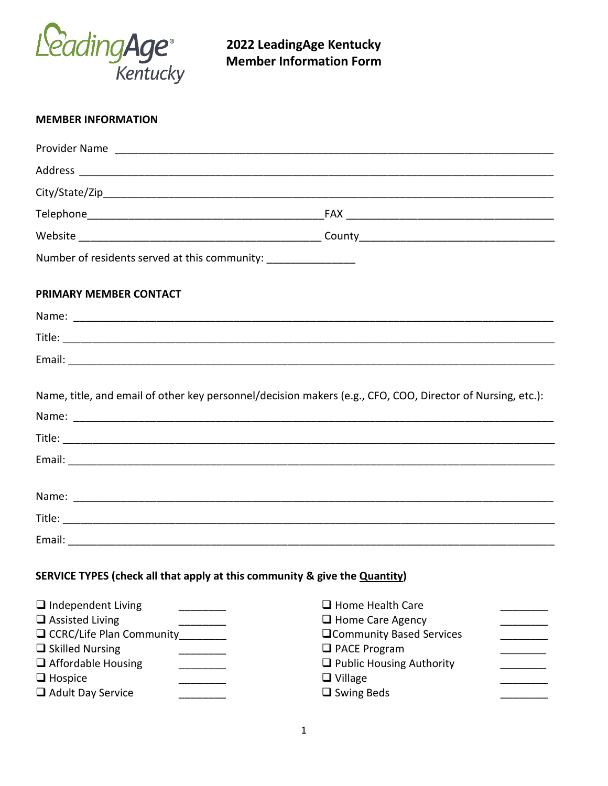

**2022 LeadingAge Kentucky Member Information Form**

| <b>MEMBER INFORMATION</b>                                                                                                                                                            |                                                                                                                                                                                         |
|--------------------------------------------------------------------------------------------------------------------------------------------------------------------------------------|-----------------------------------------------------------------------------------------------------------------------------------------------------------------------------------------|
|                                                                                                                                                                                      |                                                                                                                                                                                         |
|                                                                                                                                                                                      |                                                                                                                                                                                         |
|                                                                                                                                                                                      |                                                                                                                                                                                         |
|                                                                                                                                                                                      |                                                                                                                                                                                         |
|                                                                                                                                                                                      |                                                                                                                                                                                         |
| Number of residents served at this community: _________________                                                                                                                      |                                                                                                                                                                                         |
| <b>PRIMARY MEMBER CONTACT</b>                                                                                                                                                        |                                                                                                                                                                                         |
|                                                                                                                                                                                      |                                                                                                                                                                                         |
|                                                                                                                                                                                      |                                                                                                                                                                                         |
|                                                                                                                                                                                      |                                                                                                                                                                                         |
|                                                                                                                                                                                      | Name, title, and email of other key personnel/decision makers (e.g., CFO, COO, Director of Nursing, etc.):                                                                              |
|                                                                                                                                                                                      |                                                                                                                                                                                         |
|                                                                                                                                                                                      |                                                                                                                                                                                         |
|                                                                                                                                                                                      |                                                                                                                                                                                         |
| SERVICE TYPES (check all that apply at this community & give the Quantity)                                                                                                           |                                                                                                                                                                                         |
| $\Box$ Independent Living<br>$\Box$ Assisted Living<br>$\Box$ CCRC/Life Plan Community<br>$\Box$ Skilled Nursing<br>$\Box$ Affordable Housing<br>$\Box$ Hospice<br>Adult Day Service | $\Box$ Home Health Care<br>$\Box$ Home Care Agency<br><b>QCommunity Based Services</b><br>$\Box$ PACE Program<br>$\Box$ Public Housing Authority<br>$\Box$ Village<br>$\Box$ Swing Beds |